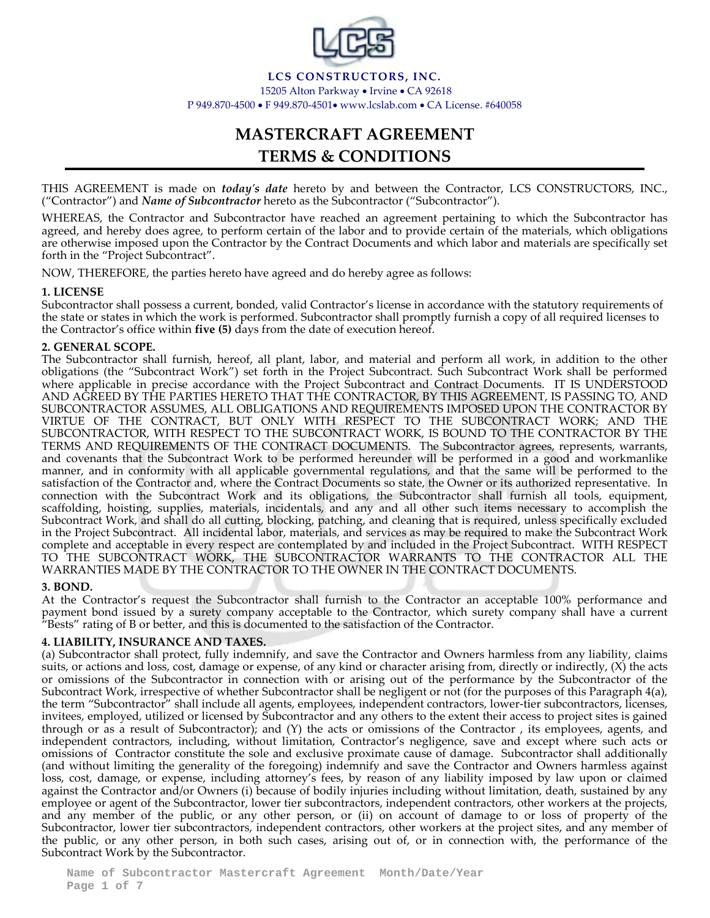

**LCS CONSTRUCTORS, INC.** 15205 Alton Parkway • Irvine • CA 92618 P 949.870-4500 • F 949.870-4501• www.lcslab.com • CA License. #640058

# **MASTERCRAFT AGREEMENT TERMS & CONDITIONS**

THIS AGREEMENT is made on *today's date* hereto by and between the Contractor, LCS CONSTRUCTORS, INC., ("Contractor") and *Name of Subcontractor* hereto as the Subcontractor ("Subcontractor").

WHEREAS, the Contractor and Subcontractor have reached an agreement pertaining to which the Subcontractor has agreed, and hereby does agree, to perform certain of the labor and to provide certain of the materials, which obligations are otherwise imposed upon the Contractor by the Contract Documents and which labor and materials are specifically set forth in the "Project Subcontract".

NOW, THEREFORE, the parties hereto have agreed and do hereby agree as follows:

## **1. LICENSE**

Subcontractor shall possess a current, bonded, valid Contractor's license in accordance with the statutory requirements of the state or states in which the work is performed. Subcontractor shall promptly furnish a copy of all required licenses to the Contractor's office within **five (5)** days from the date of execution hereof.

## **2. GENERAL SCOPE.**

The Subcontractor shall furnish, hereof, all plant, labor, and material and perform all work, in addition to the other obligations (the "Subcontract Work") set forth in the Project Subcontract. Such Subcontract Work shall be performed where applicable in precise accordance with the Project Subcontract and Contract Documents. IT IS UNDERSTOOD AND AGREED BY THE PARTIES HERETO THAT THE CONTRACTOR, BY THIS AGREEMENT, IS PASSING TO, AND SUBCONTRACTOR ASSUMES, ALL OBLIGATIONS AND REQUIREMENTS IMPOSED UPON THE CONTRACTOR BY VIRTUE OF THE CONTRACT, BUT ONLY WITH RESPECT TO THE SUBCONTRACT WORK; AND THE SUBCONTRACTOR, WITH RESPECT TO THE SUBCONTRACT WORK, IS BOUND TO THE CONTRACTOR BY THE TERMS AND REQUIREMENTS OF THE CONTRACT DOCUMENTS. The Subcontractor agrees, represents, warrants, and covenants that the Subcontract Work to be performed hereunder will be performed in a good and workmanlike manner, and in conformity with all applicable governmental regulations, and that the same will be performed to the satisfaction of the Contractor and, where the Contract Documents so state, the Owner or its authorized representative. In connection with the Subcontract Work and its obligations, the Subcontractor shall furnish all tools, equipment, scaffolding, hoisting, supplies, materials, incidentals, and any and all other such items necessary to accomplish the Subcontract Work, and shall do all cutting, blocking, patching, and cleaning that is required, unless specifically excluded in the Project Subcontract. All incidental labor, materials, and services as may be required to make the Subcontract Work complete and acceptable in every respect are contemplated by and included in the Project Subcontract. WITH RESPECT TO THE SUBCONTRACT WORK, THE SUBCONTRACTOR WARRANTS TO THE CONTRACTOR ALL THE WARRANTIES MADE BY THE CONTRACTOR TO THE OWNER IN THE CONTRACT DOCUMENTS.

#### **3. BOND.**

At the Contractor's request the Subcontractor shall furnish to the Contractor an acceptable 100% performance and payment bond issued by a surety company acceptable to the Contractor, which surety company shall have a current "Bests" rating of B or better, and this is documented to the satisfaction of the Contractor.

## **4. LIABILITY, INSURANCE AND TAXES.**

(a) Subcontractor shall protect, fully indemnify, and save the Contractor and Owners harmless from any liability, claims suits, or actions and loss, cost, damage or expense, of any kind or character arising from, directly or indirectly, (X) the acts or omissions of the Subcontractor in connection with or arising out of the performance by the Subcontractor of the Subcontract Work, irrespective of whether Subcontractor shall be negligent or not (for the purposes of this Paragraph 4(a), the term "Subcontractor" shall include all agents, employees, independent contractors, lower-tier subcontractors, licenses, invitees, employed, utilized or licensed by Subcontractor and any others to the extent their access to project sites is gained through or as a result of Subcontractor); and (Y) the acts or omissions of the Contractor , its employees, agents, and independent contractors, including, without limitation, Contractor's negligence, save and except where such acts or omissions of Contractor constitute the sole and exclusive proximate cause of damage. Subcontractor shall additionally (and without limiting the generality of the foregoing) indemnify and save the Contractor and Owners harmless against loss, cost, damage, or expense, including attorney's fees, by reason of any liability imposed by law upon or claimed against the Contractor and/or Owners (i) because of bodily injuries including without limitation, death, sustained by any employee or agent of the Subcontractor, lower tier subcontractors, independent contractors, other workers at the projects, and any member of the public, or any other person, or (ii) on account of damage to or loss of property of the Subcontractor, lower tier subcontractors, independent contractors, other workers at the project sites, and any member of the public, or any other person, in both such cases, arising out of, or in connection with, the performance of the Subcontract Work by the Subcontractor.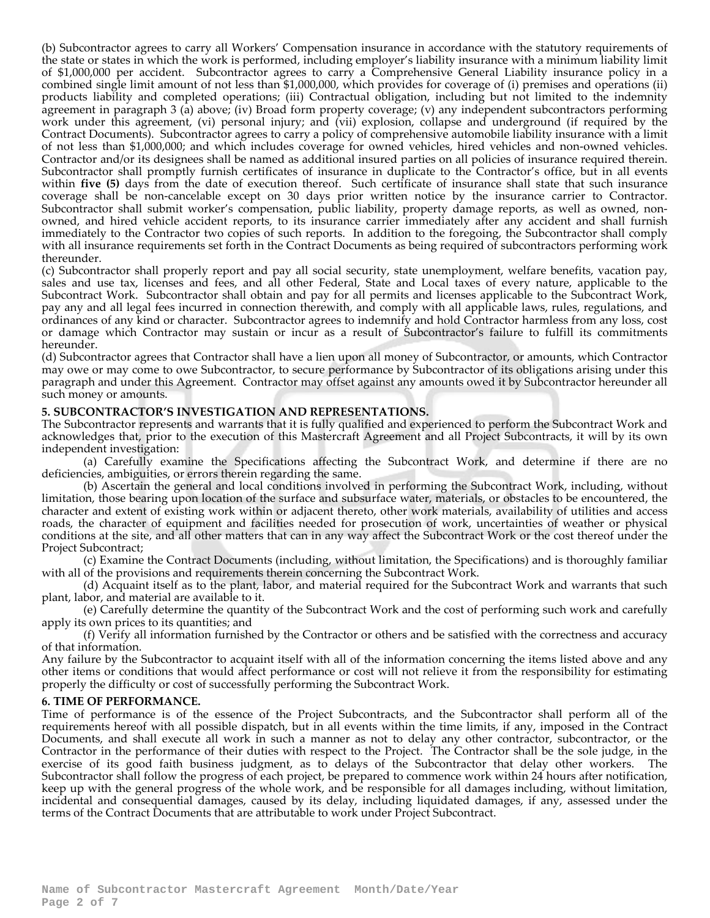(b) Subcontractor agrees to carry all Workers' Compensation insurance in accordance with the statutory requirements of the state or states in which the work is performed, including employer's liability insurance with a minimum liability limit of \$1,000,000 per accident. Subcontractor agrees to carry a Comprehensive General Liability insurance policy in a combined single limit amount of not less than \$1,000,000, which provides for coverage of (i) premises and operations (ii) products liability and completed operations; (iii) Contractual obligation, including but not limited to the indemnity agreement in paragraph 3 (a) above; (iv) Broad form property coverage; (v) any independent subcontractors performing work under this agreement, (vi) personal injury; and (vii) explosion, collapse and underground (if required by the Contract Documents). Subcontractor agrees to carry a policy of comprehensive automobile liability insurance with a limit of not less than \$1,000,000; and which includes coverage for owned vehicles, hired vehicles and non-owned vehicles. Contractor and/or its designees shall be named as additional insured parties on all policies of insurance required therein. Subcontractor shall promptly furnish certificates of insurance in duplicate to the Contractor's office, but in all events within **five (5)** days from the date of execution thereof. Such certificate of insurance shall state that such insurance coverage shall be non-cancelable except on 30 days prior written notice by the insurance carrier to Contractor. Subcontractor shall submit worker's compensation, public liability, property damage reports, as well as owned, nonowned, and hired vehicle accident reports, to its insurance carrier immediately after any accident and shall furnish immediately to the Contractor two copies of such reports. In addition to the foregoing, the Subcontractor shall comply with all insurance requirements set forth in the Contract Documents as being required of subcontractors performing work thereunder.

(c) Subcontractor shall properly report and pay all social security, state unemployment, welfare benefits, vacation pay, sales and use tax, licenses and fees, and all other Federal, State and Local taxes of every nature, applicable to the Subcontract Work. Subcontractor shall obtain and pay for all permits and licenses applicable to the Subcontract Work, pay any and all legal fees incurred in connection therewith, and comply with all applicable laws, rules, regulations, and ordinances of any kind or character. Subcontractor agrees to indemnify and hold Contractor harmless from any loss, cost or damage which Contractor may sustain or incur as a result of Subcontractor's failure to fulfill its commitments hereunder.

(d) Subcontractor agrees that Contractor shall have a lien upon all money of Subcontractor, or amounts, which Contractor may owe or may come to owe Subcontractor, to secure performance by Subcontractor of its obligations arising under this paragraph and under this Agreement. Contractor may offset against any amounts owed it by Subcontractor hereunder all such money or amounts.

## **5. SUBCONTRACTOR'S INVESTIGATION AND REPRESENTATIONS.**

The Subcontractor represents and warrants that it is fully qualified and experienced to perform the Subcontract Work and acknowledges that, prior to the execution of this Mastercraft Agreement and all Project Subcontracts, it will by its own independent investigation:

(a) Carefully examine the Specifications affecting the Subcontract Work, and determine if there are no deficiencies, ambiguities, or errors therein regarding the same.

(b) Ascertain the general and local conditions involved in performing the Subcontract Work, including, without limitation, those bearing upon location of the surface and subsurface water, materials, or obstacles to be encountered, the character and extent of existing work within or adjacent thereto, other work materials, availability of utilities and access roads, the character of equipment and facilities needed for prosecution of work, uncertainties of weather or physical conditions at the site, and all other matters that can in any way affect the Subcontract Work or the cost thereof under the Project Subcontract;

(c) Examine the Contract Documents (including, without limitation, the Specifications) and is thoroughly familiar with all of the provisions and requirements therein concerning the Subcontract Work.

(d) Acquaint itself as to the plant, labor, and material required for the Subcontract Work and warrants that such plant, labor, and material are available to it.

(e) Carefully determine the quantity of the Subcontract Work and the cost of performing such work and carefully apply its own prices to its quantities; and

(f) Verify all information furnished by the Contractor or others and be satisfied with the correctness and accuracy of that information.

Any failure by the Subcontractor to acquaint itself with all of the information concerning the items listed above and any other items or conditions that would affect performance or cost will not relieve it from the responsibility for estimating properly the difficulty or cost of successfully performing the Subcontract Work.

## **6. TIME OF PERFORMANCE.**

Time of performance is of the essence of the Project Subcontracts, and the Subcontractor shall perform all of the requirements hereof with all possible dispatch, but in all events within the time limits, if any, imposed in the Contract Documents, and shall execute all work in such a manner as not to delay any other contractor, subcontractor, or the Contractor in the performance of their duties with respect to the Project. The Contractor shall be the sole judge, in the exercise of its good faith business judgment, as to delays of the Subcontractor that delay other workers. The Subcontractor shall follow the progress of each project, be prepared to commence work within 24 hours after notification, keep up with the general progress of the whole work, and be responsible for all damages including, without limitation, incidental and consequential damages, caused by its delay, including liquidated damages, if any, assessed under the terms of the Contract Documents that are attributable to work under Project Subcontract.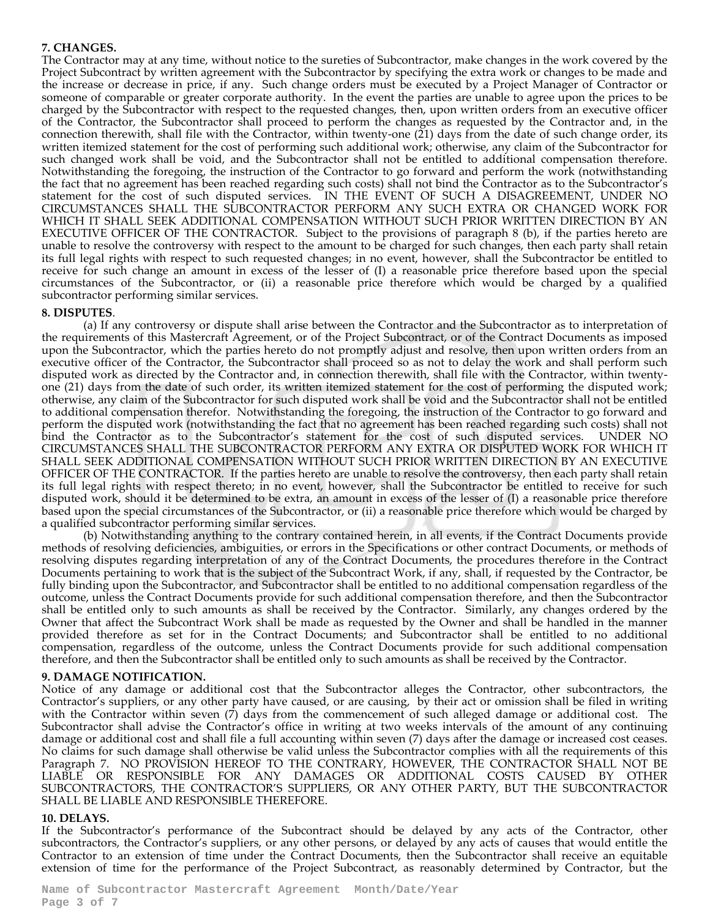#### **7. CHANGES.**

The Contractor may at any time, without notice to the sureties of Subcontractor, make changes in the work covered by the Project Subcontract by written agreement with the Subcontractor by specifying the extra work or changes to be made and the increase or decrease in price, if any. Such change orders must be executed by a Project Manager of Contractor or someone of comparable or greater corporate authority. In the event the parties are unable to agree upon the prices to be charged by the Subcontractor with respect to the requested changes, then, upon written orders from an executive officer of the Contractor, the Subcontractor shall proceed to perform the changes as requested by the Contractor and, in the connection therewith, shall file with the Contractor, within twenty-one (21) days from the date of such change order, its written itemized statement for the cost of performing such additional work; otherwise, any claim of the Subcontractor for such changed work shall be void, and the Subcontractor shall not be entitled to additional compensation therefore. Notwithstanding the foregoing, the instruction of the Contractor to go forward and perform the work (notwithstanding the fact that no agreement has been reached regarding such costs) shall not bind the Contractor as to the Subcontractor's statement for the cost of such disputed services. IN THE EVENT OF SUCH A DISAGREEMENT, UNDER NO CIRCUMSTANCES SHALL THE SUBCONTRACTOR PERFORM ANY SUCH EXTRA OR CHANGED WORK FOR WHICH IT SHALL SEEK ADDITIONAL COMPENSATION WITHOUT SUCH PRIOR WRITTEN DIRECTION BY AN EXECUTIVE OFFICER OF THE CONTRACTOR. Subject to the provisions of paragraph 8 (b), if the parties hereto are unable to resolve the controversy with respect to the amount to be charged for such changes, then each party shall retain its full legal rights with respect to such requested changes; in no event, however, shall the Subcontractor be entitled to receive for such change an amount in excess of the lesser of (I) a reasonable price therefore based upon the special circumstances of the Subcontractor, or (ii) a reasonable price therefore which would be charged by a qualified subcontractor performing similar services.

#### **8. DISPUTES**.

(a) If any controversy or dispute shall arise between the Contractor and the Subcontractor as to interpretation of the requirements of this Mastercraft Agreement, or of the Project Subcontract, or of the Contract Documents as imposed upon the Subcontractor, which the parties hereto do not promptly adjust and resolve, then upon written orders from an executive officer of the Contractor, the Subcontractor shall proceed so as not to delay the work and shall perform such disputed work as directed by the Contractor and, in connection therewith, shall file with the Contractor, within twentyone (21) days from the date of such order, its written itemized statement for the cost of performing the disputed work; otherwise, any claim of the Subcontractor for such disputed work shall be void and the Subcontractor shall not be entitled to additional compensation therefor. Notwithstanding the foregoing, the instruction of the Contractor to go forward and perform the disputed work (notwithstanding the fact that no agreement has been reached regarding such costs) shall not bind the Contractor as to the Subcontractor's statement for the cost of such disputed services. UNDER NO CIRCUMSTANCES SHALL THE SUBCONTRACTOR PERFORM ANY EXTRA OR DISPUTED WORK FOR WHICH IT SHALL SEEK ADDITIONAL COMPENSATION WITHOUT SUCH PRIOR WRITTEN DIRECTION BY AN EXECUTIVE OFFICER OF THE CONTRACTOR. If the parties hereto are unable to resolve the controversy, then each party shall retain its full legal rights with respect thereto; in no event, however, shall the Subcontractor be entitled to receive for such disputed work, should it be determined to be extra, an amount in excess of the lesser of (I) a reasonable price therefore based upon the special circumstances of the Subcontractor, or (ii) a reasonable price therefore which would be charged by a qualified subcontractor performing similar services.

(b) Notwithstanding anything to the contrary contained herein, in all events, if the Contract Documents provide methods of resolving deficiencies, ambiguities, or errors in the Specifications or other contract Documents, or methods of resolving disputes regarding interpretation of any of the Contract Documents, the procedures therefore in the Contract Documents pertaining to work that is the subject of the Subcontract Work, if any, shall, if requested by the Contractor, be fully binding upon the Subcontractor, and Subcontractor shall be entitled to no additional compensation regardless of the outcome, unless the Contract Documents provide for such additional compensation therefore, and then the Subcontractor shall be entitled only to such amounts as shall be received by the Contractor. Similarly, any changes ordered by the Owner that affect the Subcontract Work shall be made as requested by the Owner and shall be handled in the manner provided therefore as set for in the Contract Documents; and Subcontractor shall be entitled to no additional compensation, regardless of the outcome, unless the Contract Documents provide for such additional compensation therefore, and then the Subcontractor shall be entitled only to such amounts as shall be received by the Contractor.

#### **9. DAMAGE NOTIFICATION.**

Notice of any damage or additional cost that the Subcontractor alleges the Contractor, other subcontractors, the Contractor's suppliers, or any other party have caused, or are causing, by their act or omission shall be filed in writing with the Contractor within seven (7) days from the commencement of such alleged damage or additional cost. The Subcontractor shall advise the Contractor's office in writing at two weeks intervals of the amount of any continuing damage or additional cost and shall file a full accounting within seven (7) days after the damage or increased cost ceases. No claims for such damage shall otherwise be valid unless the Subcontractor complies with all the requirements of this Paragraph 7. NO PROVISION HEREOF TO THE CONTRARY, HOWEVER, THE CONTRACTOR SHALL NOT BE LIABLE OR RESPONSIBLE FOR ANY DAMAGES OR ADDITIONAL COSTS CAUSED BY OTHER SUBCONTRACTORS, THE CONTRACTOR'S SUPPLIERS, OR ANY OTHER PARTY, BUT THE SUBCONTRACTOR SHALL BE LIABLE AND RESPONSIBLE THEREFORE.

#### **10. DELAYS.**

If the Subcontractor's performance of the Subcontract should be delayed by any acts of the Contractor, other subcontractors, the Contractor's suppliers, or any other persons, or delayed by any acts of causes that would entitle the Contractor to an extension of time under the Contract Documents, then the Subcontractor shall receive an equitable extension of time for the performance of the Project Subcontract, as reasonably determined by Contractor, but the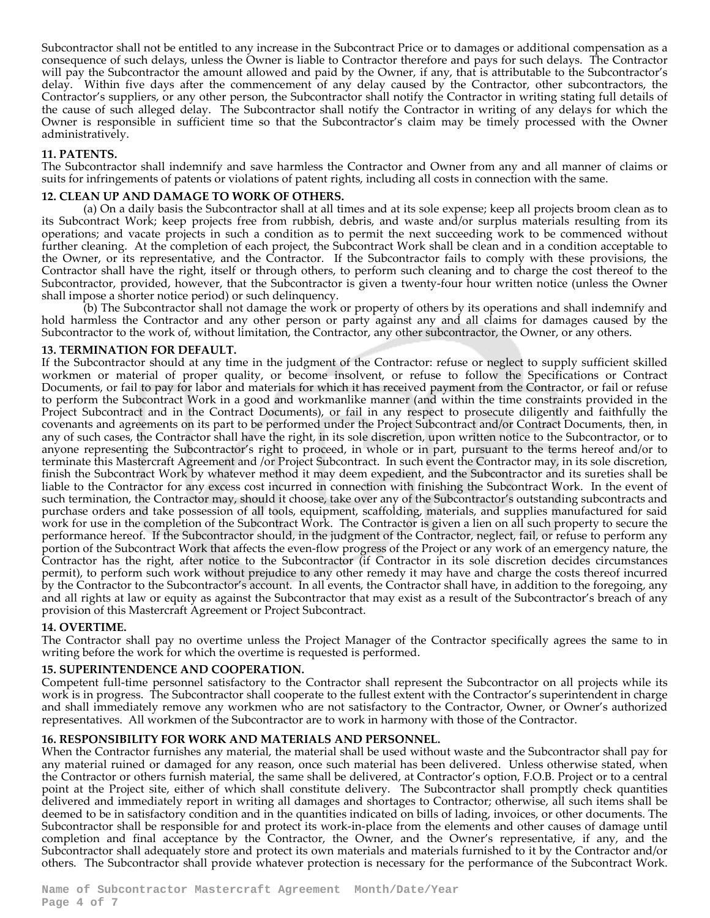Subcontractor shall not be entitled to any increase in the Subcontract Price or to damages or additional compensation as a consequence of such delays, unless the Owner is liable to Contractor therefore and pays for such delays. The Contractor will pay the Subcontractor the amount allowed and paid by the Owner, if any, that is attributable to the Subcontractor's delay. Within five days after the commencement of any delay caused by the Contractor, other subcontractors, the Contractor's suppliers, or any other person, the Subcontractor shall notify the Contractor in writing stating full details of the cause of such alleged delay. The Subcontractor shall notify the Contractor in writing of any delays for which the Owner is responsible in sufficient time so that the Subcontractor's claim may be timely processed with the Owner administratively.

#### **11. PATENTS.**

The Subcontractor shall indemnify and save harmless the Contractor and Owner from any and all manner of claims or suits for infringements of patents or violations of patent rights, including all costs in connection with the same.

#### **12. CLEAN UP AND DAMAGE TO WORK OF OTHERS.**

(a) On a daily basis the Subcontractor shall at all times and at its sole expense; keep all projects broom clean as to its Subcontract Work; keep projects free from rubbish, debris, and waste and/or surplus materials resulting from its operations; and vacate projects in such a condition as to permit the next succeeding work to be commenced without further cleaning. At the completion of each project, the Subcontract Work shall be clean and in a condition acceptable to the Owner, or its representative, and the Contractor. If the Subcontractor fails to comply with these provisions, the Contractor shall have the right, itself or through others, to perform such cleaning and to charge the cost thereof to the Subcontractor, provided, however, that the Subcontractor is given a twenty-four hour written notice (unless the Owner shall impose a shorter notice period) or such delinquency.

(b) The Subcontractor shall not damage the work or property of others by its operations and shall indemnify and hold harmless the Contractor and any other person or party against any and all claims for damages caused by the Subcontractor to the work of, without limitation, the Contractor, any other subcontractor, the Owner, or any others.

#### **13. TERMINATION FOR DEFAULT.**

If the Subcontractor should at any time in the judgment of the Contractor: refuse or neglect to supply sufficient skilled workmen or material of proper quality, or become insolvent, or refuse to follow the Specifications or Contract Documents, or fail to pay for labor and materials for which it has received payment from the Contractor, or fail or refuse to perform the Subcontract Work in a good and workmanlike manner (and within the time constraints provided in the Project Subcontract and in the Contract Documents), or fail in any respect to prosecute diligently and faithfully the covenants and agreements on its part to be performed under the Project Subcontract and/or Contract Documents, then, in any of such cases, the Contractor shall have the right, in its sole discretion, upon written notice to the Subcontractor, or to anyone representing the Subcontractor's right to proceed, in whole or in part, pursuant to the terms hereof and/or to terminate this Mastercraft Agreement and /or Project Subcontract. In such event the Contractor may, in its sole discretion, finish the Subcontract Work by whatever method it may deem expedient, and the Subcontractor and its sureties shall be liable to the Contractor for any excess cost incurred in connection with finishing the Subcontract Work. In the event of such termination, the Contractor may, should it choose, take over any of the Subcontractor's outstanding subcontracts and purchase orders and take possession of all tools, equipment, scaffolding, materials, and supplies manufactured for said work for use in the completion of the Subcontract Work. The Contractor is given a lien on all such property to secure the performance hereof. If the Subcontractor should, in the judgment of the Contractor, neglect, fail, or refuse to perform any portion of the Subcontract Work that affects the even-flow progress of the Project or any work of an emergency nature, the Contractor has the right, after notice to the Subcontractor (if Contractor in its sole discretion decides circumstances permit), to perform such work without prejudice to any other remedy it may have and charge the costs thereof incurred by the Contractor to the Subcontractor's account. In all events, the Contractor shall have, in addition to the foregoing, any and all rights at law or equity as against the Subcontractor that may exist as a result of the Subcontractor's breach of any provision of this Mastercraft Agreement or Project Subcontract.

#### **14. OVERTIME.**

The Contractor shall pay no overtime unless the Project Manager of the Contractor specifically agrees the same to in writing before the work for which the overtime is requested is performed.

## **15. SUPERINTENDENCE AND COOPERATION.**

Competent full-time personnel satisfactory to the Contractor shall represent the Subcontractor on all projects while its work is in progress. The Subcontractor shall cooperate to the fullest extent with the Contractor's superintendent in charge and shall immediately remove any workmen who are not satisfactory to the Contractor, Owner, or Owner's authorized representatives. All workmen of the Subcontractor are to work in harmony with those of the Contractor.

## **16. RESPONSIBILITY FOR WORK AND MATERIALS AND PERSONNEL.**

When the Contractor furnishes any material, the material shall be used without waste and the Subcontractor shall pay for any material ruined or damaged for any reason, once such material has been delivered. Unless otherwise stated, when the Contractor or others furnish material, the same shall be delivered, at Contractor's option, F.O.B. Project or to a central point at the Project site, either of which shall constitute delivery. The Subcontractor shall promptly check quantities delivered and immediately report in writing all damages and shortages to Contractor; otherwise, all such items shall be deemed to be in satisfactory condition and in the quantities indicated on bills of lading, invoices, or other documents. The Subcontractor shall be responsible for and protect its work-in-place from the elements and other causes of damage until completion and final acceptance by the Contractor, the Owner, and the Owner's representative, if any, and the Subcontractor shall adequately store and protect its own materials and materials furnished to it by the Contractor and/or others. The Subcontractor shall provide whatever protection is necessary for the performance of the Subcontract Work.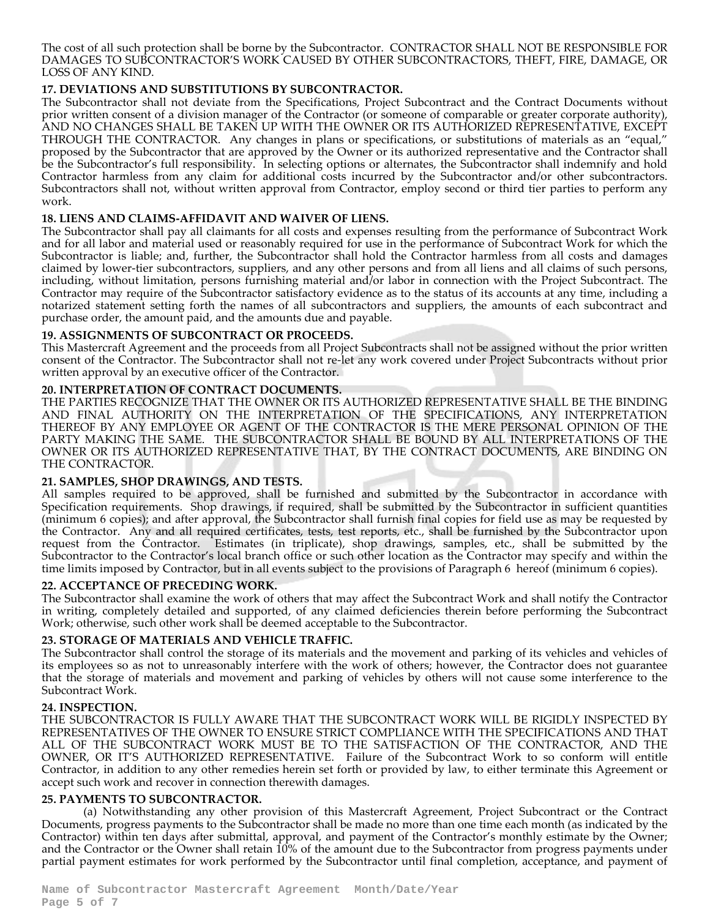The cost of all such protection shall be borne by the Subcontractor. CONTRACTOR SHALL NOT BE RESPONSIBLE FOR DAMAGES TO SUBCONTRACTOR'S WORK CAUSED BY OTHER SUBCONTRACTORS, THEFT, FIRE, DAMAGE, OR LOSS OF ANY KIND.

# **17. DEVIATIONS AND SUBSTITUTIONS BY SUBCONTRACTOR.**

The Subcontractor shall not deviate from the Specifications, Project Subcontract and the Contract Documents without prior written consent of a division manager of the Contractor (or someone of comparable or greater corporate authority), AND NO CHANGES SHALL BE TAKEN UP WITH THE OWNER OR ITS AUTHORIZED REPRESENTATIVE, EXCEPT THROUGH THE CONTRACTOR. Any changes in plans or specifications, or substitutions of materials as an "equal," proposed by the Subcontractor that are approved by the Owner or its authorized representative and the Contractor shall be the Subcontractor's full responsibility. In selecting options or alternates, the Subcontractor shall indemnify and hold Contractor harmless from any claim for additional costs incurred by the Subcontractor and/or other subcontractors. Subcontractors shall not, without written approval from Contractor, employ second or third tier parties to perform any work.

# **18. LIENS AND CLAIMS-AFFIDAVIT AND WAIVER OF LIENS.**

The Subcontractor shall pay all claimants for all costs and expenses resulting from the performance of Subcontract Work and for all labor and material used or reasonably required for use in the performance of Subcontract Work for which the Subcontractor is liable; and, further, the Subcontractor shall hold the Contractor harmless from all costs and damages claimed by lower-tier subcontractors, suppliers, and any other persons and from all liens and all claims of such persons, including, without limitation, persons furnishing material and/or labor in connection with the Project Subcontract. The Contractor may require of the Subcontractor satisfactory evidence as to the status of its accounts at any time, including a notarized statement setting forth the names of all subcontractors and suppliers, the amounts of each subcontract and purchase order, the amount paid, and the amounts due and payable.

# **19. ASSIGNMENTS OF SUBCONTRACT OR PROCEEDS.**

This Mastercraft Agreement and the proceeds from all Project Subcontracts shall not be assigned without the prior written consent of the Contractor. The Subcontractor shall not re-let any work covered under Project Subcontracts without prior written approval by an executive officer of the Contractor.

## **20. INTERPRETATION OF CONTRACT DOCUMENTS.**

THE PARTIES RECOGNIZE THAT THE OWNER OR ITS AUTHORIZED REPRESENTATIVE SHALL BE THE BINDING AND FINAL AUTHORITY ON THE INTERPRETATION OF THE SPECIFICATIONS, ANY INTERPRETATION THEREOF BY ANY EMPLOYEE OR AGENT OF THE CONTRACTOR IS THE MERE PERSONAL OPINION OF THE PARTY MAKING THE SAME. THE SUBCONTRACTOR SHALL BE BOUND BY ALL INTERPRETATIONS OF THE OWNER OR ITS AUTHORIZED REPRESENTATIVE THAT, BY THE CONTRACT DOCUMENTS, ARE BINDING ON THE CONTRACTOR.

# **21. SAMPLES, SHOP DRAWINGS, AND TESTS.**

All samples required to be approved, shall be furnished and submitted by the Subcontractor in accordance with Specification requirements. Shop drawings, if required, shall be submitted by the Subcontractor in sufficient quantities (minimum 6 copies); and after approval, the Subcontractor shall furnish final copies for field use as may be requested by the Contractor. Any and all required certificates, tests, test reports, etc., shall be furnished by the Subcontractor upon request from the Contractor. Estimates (in triplicate), shop drawings, samples, etc., shall be submitted by the Subcontractor to the Contractor's local branch office or such other location as the Contractor may specify and within the time limits imposed by Contractor, but in all events subject to the provisions of Paragraph 6 hereof (minimum 6 copies).

## **22. ACCEPTANCE OF PRECEDING WORK.**

The Subcontractor shall examine the work of others that may affect the Subcontract Work and shall notify the Contractor in writing, completely detailed and supported, of any claimed deficiencies therein before performing the Subcontract Work; otherwise, such other work shall be deemed acceptable to the Subcontractor.

## **23. STORAGE OF MATERIALS AND VEHICLE TRAFFIC.**

The Subcontractor shall control the storage of its materials and the movement and parking of its vehicles and vehicles of its employees so as not to unreasonably interfere with the work of others; however, the Contractor does not guarantee that the storage of materials and movement and parking of vehicles by others will not cause some interference to the Subcontract Work.

## **24. INSPECTION.**

THE SUBCONTRACTOR IS FULLY AWARE THAT THE SUBCONTRACT WORK WILL BE RIGIDLY INSPECTED BY REPRESENTATIVES OF THE OWNER TO ENSURE STRICT COMPLIANCE WITH THE SPECIFICATIONS AND THAT ALL OF THE SUBCONTRACT WORK MUST BE TO THE SATISFACTION OF THE CONTRACTOR, AND THE OWNER, OR IT'S AUTHORIZED REPRESENTATIVE. Failure of the Subcontract Work to so conform will entitle Contractor, in addition to any other remedies herein set forth or provided by law, to either terminate this Agreement or accept such work and recover in connection therewith damages.

## **25. PAYMENTS TO SUBCONTRACTOR.**

(a) Notwithstanding any other provision of this Mastercraft Agreement, Project Subcontract or the Contract Documents, progress payments to the Subcontractor shall be made no more than one time each month (as indicated by the Contractor) within ten days after submittal, approval, and payment of the Contractor's monthly estimate by the Owner; and the Contractor or the Owner shall retain 10% of the amount due to the Subcontractor from progress payments under partial payment estimates for work performed by the Subcontractor until final completion, acceptance, and payment of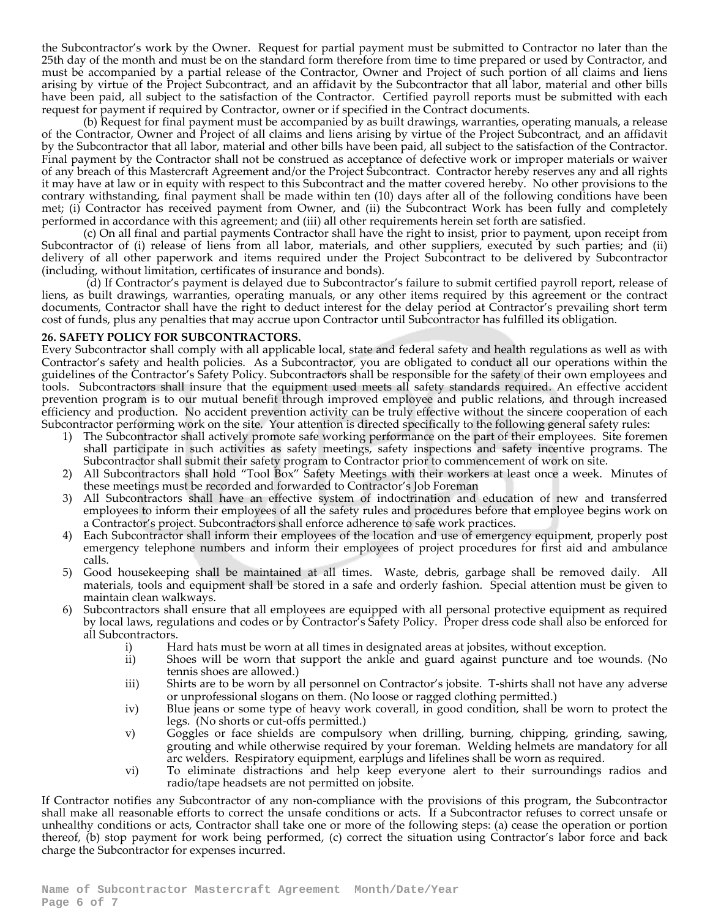the Subcontractor's work by the Owner. Request for partial payment must be submitted to Contractor no later than the 25th day of the month and must be on the standard form therefore from time to time prepared or used by Contractor, and must be accompanied by a partial release of the Contractor, Owner and Project of such portion of all claims and liens arising by virtue of the Project Subcontract, and an affidavit by the Subcontractor that all labor, material and other bills have been paid, all subject to the satisfaction of the Contractor. Certified payroll reports must be submitted with each request for payment if required by Contractor, owner or if specified in the Contract documents.

(b) Request for final payment must be accompanied by as built drawings, warranties, operating manuals, a release of the Contractor, Owner and Project of all claims and liens arising by virtue of the Project Subcontract, and an affidavit by the Subcontractor that all labor, material and other bills have been paid, all subject to the satisfaction of the Contractor. Final payment by the Contractor shall not be construed as acceptance of defective work or improper materials or waiver of any breach of this Mastercraft Agreement and/or the Project Subcontract. Contractor hereby reserves any and all rights it may have at law or in equity with respect to this Subcontract and the matter covered hereby. No other provisions to the contrary withstanding, final payment shall be made within ten (10) days after all of the following conditions have been met; (i) Contractor has received payment from Owner, and (ii) the Subcontract Work has been fully and completely performed in accordance with this agreement; and (iii) all other requirements herein set forth are satisfied.

(c) On all final and partial payments Contractor shall have the right to insist, prior to payment, upon receipt from Subcontractor of (i) release of liens from all labor, materials, and other suppliers, executed by such parties; and (ii) delivery of all other paperwork and items required under the Project Subcontract to be delivered by Subcontractor (including, without limitation, certificates of insurance and bonds).

(d) If Contractor's payment is delayed due to Subcontractor's failure to submit certified payroll report, release of liens, as built drawings, warranties, operating manuals, or any other items required by this agreement or the contract documents, Contractor shall have the right to deduct interest for the delay period at Contractor's prevailing short term cost of funds, plus any penalties that may accrue upon Contractor until Subcontractor has fulfilled its obligation.

#### **26. SAFETY POLICY FOR SUBCONTRACTORS.**

Every Subcontractor shall comply with all applicable local, state and federal safety and health regulations as well as with Contractor's safety and health policies. As a Subcontractor, you are obligated to conduct all our operations within the guidelines of the Contractor's Safety Policy. Subcontractors shall be responsible for the safety of their own employees and tools. Subcontractors shall insure that the equipment used meets all safety standards required. An effective accident prevention program is to our mutual benefit through improved employee and public relations, and through increased efficiency and production. No accident prevention activity can be truly effective without the sincere cooperation of each Subcontractor performing work on the site. Your attention is directed specifically to the following general safety rules:

- 1) The Subcontractor shall actively promote safe working performance on the part of their employees. Site foremen shall participate in such activities as safety meetings, safety inspections and safety incentive programs. The Subcontractor shall submit their safety program to Contractor prior to commencement of work on site.
- 2) All Subcontractors shall hold "Tool Box" Safety Meetings with their workers at least once a week. Minutes of these meetings must be recorded and forwarded to Contractor's Job Foreman
- 3) All Subcontractors shall have an effective system of indoctrination and education of new and transferred employees to inform their employees of all the safety rules and procedures before that employee begins work on a Contractor's project. Subcontractors shall enforce adherence to safe work practices.
- 4) Each Subcontractor shall inform their employees of the location and use of emergency equipment, properly post emergency telephone numbers and inform their employees of project procedures for first aid and ambulance calls.
- 5) Good housekeeping shall be maintained at all times. Waste, debris, garbage shall be removed daily. All materials, tools and equipment shall be stored in a safe and orderly fashion. Special attention must be given to maintain clean walkways.
- 6) Subcontractors shall ensure that all employees are equipped with all personal protective equipment as required by local laws, regulations and codes or by Contractor's Safety Policy. Proper dress code shall also be enforced for all Subcontractors.
	- Hard hats must be worn at all times in designated areas at jobsites, without exception.
	- ii) Shoes will be worn that support the ankle and guard against puncture and toe wounds. (No tennis shoes are allowed.)
	- iii) Shirts are to be worn by all personnel on Contractor's jobsite. T-shirts shall not have any adverse or unprofessional slogans on them. (No loose or ragged clothing permitted.)
	- iv) Blue jeans or some type of heavy work coverall, in good condition, shall be worn to protect the legs. (No shorts or cut-offs permitted.)
	- v) Goggles or face shields are compulsory when drilling, burning, chipping, grinding, sawing, grouting and while otherwise required by your foreman. Welding helmets are mandatory for all arc welders. Respiratory equipment, earplugs and lifelines shall be worn as required.
	- vi) To eliminate distractions and help keep everyone alert to their surroundings radios and radio/tape headsets are not permitted on jobsite.

If Contractor notifies any Subcontractor of any non-compliance with the provisions of this program, the Subcontractor shall make all reasonable efforts to correct the unsafe conditions or acts. If a Subcontractor refuses to correct unsafe or unhealthy conditions or acts, Contractor shall take one or more of the following steps: (a) cease the operation or portion thereof, (b) stop payment for work being performed, (c) correct the situation using Contractor's labor force and back charge the Subcontractor for expenses incurred.